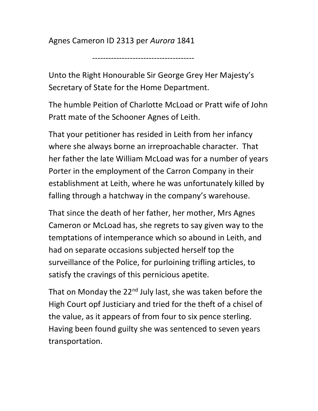Agnes Cameron ID 2313 per Aurora 1841

--------------------------------------

Unto the Right Honourable Sir George Grey Her Majesty's Secretary of State for the Home Department.

The humble Peition of Charlotte McLoad or Pratt wife of John Pratt mate of the Schooner Agnes of Leith.

That your petitioner has resided in Leith from her infancy where she always borne an irreproachable character. That her father the late William McLoad was for a number of years Porter in the employment of the Carron Company in their establishment at Leith, where he was unfortunately killed by falling through a hatchway in the company's warehouse.

That since the death of her father, her mother, Mrs Agnes Cameron or McLoad has, she regrets to say given way to the temptations of intemperance which so abound in Leith, and had on separate occasions subjected herself top the surveillance of the Police, for purloining trifling articles, to satisfy the cravings of this pernicious apetite.

That on Monday the  $22<sup>nd</sup>$  July last, she was taken before the High Court opf Justiciary and tried for the theft of a chisel of the value, as it appears of from four to six pence sterling. Having been found guilty she was sentenced to seven years transportation.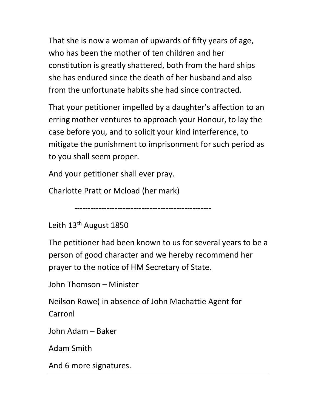That she is now a woman of upwards of fifty years of age, who has been the mother of ten children and her constitution is greatly shattered, both from the hard ships she has endured since the death of her husband and also from the unfortunate habits she had since contracted.

That your petitioner impelled by a daughter's affection to an erring mother ventures to approach your Honour, to lay the case before you, and to solicit your kind interference, to mitigate the punishment to imprisonment for such period as to you shall seem proper.

And your petitioner shall ever pray.

Charlotte Pratt or Mcload (her mark)

```
 ---------------------------------------------------
```
Leith 13<sup>th</sup> August 1850

The petitioner had been known to us for several years to be a person of good character and we hereby recommend her prayer to the notice of HM Secretary of State.

John Thomson – Minister

Neilson Rowe( in absence of John Machattie Agent for Carronl

John Adam – Baker

Adam Smith

And 6 more signatures.